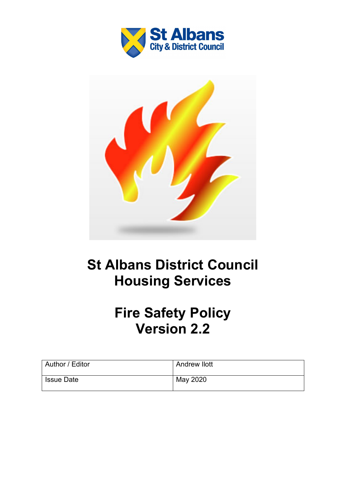



# **St Albans District Council Housing Services**

# **Fire Safety Policy Version 2.2**

| Author / Editor   | Andrew llott |
|-------------------|--------------|
| <b>Issue Date</b> | May 2020     |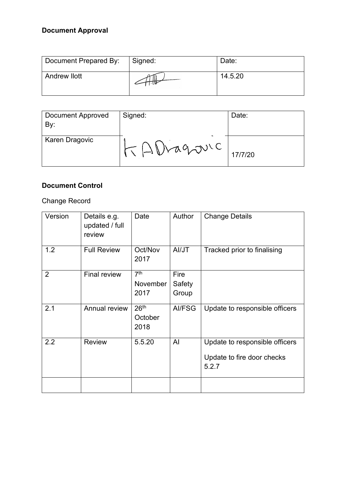## **Document Approval**

| Document Prepared By: | Signed: | Date:   |
|-----------------------|---------|---------|
| <b>Andrew llott</b>   |         | 14.5.20 |

| <b>Document Approved</b><br>By: | Signed:    | Date:   |
|---------------------------------|------------|---------|
| Karen Dragovic                  | TAVragouic | 17/7/20 |

## **Document Control**

### Change Record

| Version        | Details e.g.<br>updated / full<br>review | Date                                | Author | <b>Change Details</b>               |
|----------------|------------------------------------------|-------------------------------------|--------|-------------------------------------|
| 1.2            | <b>Full Review</b>                       | Oct/Nov<br>2017                     | Al/JT  | Tracked prior to finalising         |
| $\overline{2}$ | <b>Final review</b>                      | 7 <sup>th</sup>                     | Fire   |                                     |
|                |                                          | November                            | Safety |                                     |
|                |                                          | 2017                                | Group  |                                     |
| 2.1            | Annual review                            | 26 <sup>th</sup><br>October<br>2018 | AI/FSG | Update to responsible officers      |
| 2.2            | <b>Review</b>                            | 5.5.20                              | Al     | Update to responsible officers      |
|                |                                          |                                     |        | Update to fire door checks<br>5.2.7 |
|                |                                          |                                     |        |                                     |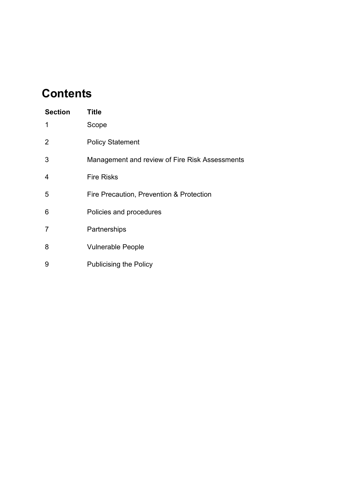# **Contents**

| <b>Section</b> | <b>Title</b>                                   |
|----------------|------------------------------------------------|
| 1              | Scope                                          |
| 2              | <b>Policy Statement</b>                        |
| 3              | Management and review of Fire Risk Assessments |
| 4              | <b>Fire Risks</b>                              |
| 5              | Fire Precaution, Prevention & Protection       |
| 6              | Policies and procedures                        |
| $\overline{7}$ | Partnerships                                   |
| 8              | <b>Vulnerable People</b>                       |
| 9              | <b>Publicising the Policy</b>                  |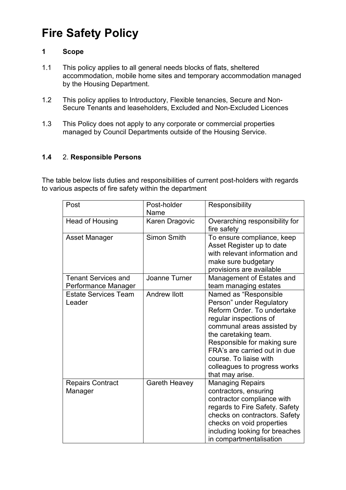# **Fire Safety Policy**

#### **1 Scope**

- 1.1 This policy applies to all general needs blocks of flats, sheltered accommodation, mobile home sites and temporary accommodation managed by the Housing Department.
- 1.2 This policy applies to Introductory, Flexible tenancies, Secure and Non-Secure Tenants and leaseholders, Excluded and Non-Excluded Licences
- 1.3 This Policy does not apply to any corporate or commercial properties managed by Council Departments outside of the Housing Service.

#### **1.4** 2. **Responsible Persons**

The table below lists duties and responsibilities of current post-holders with regards to various aspects of fire safety within the department

| Post                                              | Post-holder<br>Name  | Responsibility                                                                                                                                                                                                                                                                                              |
|---------------------------------------------------|----------------------|-------------------------------------------------------------------------------------------------------------------------------------------------------------------------------------------------------------------------------------------------------------------------------------------------------------|
| Head of Housing                                   | Karen Dragovic       | Overarching responsibility for<br>fire safety                                                                                                                                                                                                                                                               |
| <b>Asset Manager</b>                              | <b>Simon Smith</b>   | To ensure compliance, keep<br>Asset Register up to date<br>with relevant information and<br>make sure budgetary<br>provisions are available                                                                                                                                                                 |
| <b>Tenant Services and</b><br>Performance Manager | Joanne Turner        | Management of Estates and<br>team managing estates                                                                                                                                                                                                                                                          |
| <b>Estate Services Team</b><br>Leader             | <b>Andrew Ilott</b>  | Named as "Responsible<br>Person" under Regulatory<br>Reform Order. To undertake<br>regular inspections of<br>communal areas assisted by<br>the caretaking team.<br>Responsible for making sure<br>FRA's are carried out in due<br>course. To liaise with<br>colleagues to progress works<br>that may arise. |
| <b>Repairs Contract</b><br>Manager                | <b>Gareth Heavey</b> | <b>Managing Repairs</b><br>contractors, ensuring<br>contractor compliance with<br>regards to Fire Safety. Safety<br>checks on contractors. Safety<br>checks on void properties<br>including looking for breaches<br>in compartmentalisation                                                                 |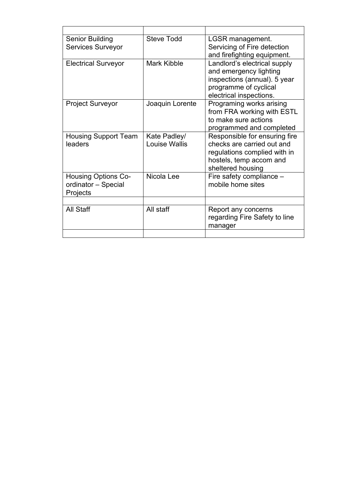| <b>Senior Building</b><br><b>Services Surveyor</b>            | <b>Steve Todd</b>             | LGSR management.<br>Servicing of Fire detection<br>and firefighting equipment.                                                              |
|---------------------------------------------------------------|-------------------------------|---------------------------------------------------------------------------------------------------------------------------------------------|
| <b>Electrical Surveyor</b>                                    | <b>Mark Kibble</b>            | Landlord's electrical supply<br>and emergency lighting<br>inspections (annual). 5 year<br>programme of cyclical<br>electrical inspections.  |
| <b>Project Surveyor</b>                                       | Joaquin Lorente               | Programing works arising<br>from FRA working with ESTL<br>to make sure actions<br>programmed and completed                                  |
| <b>Housing Support Team</b><br>leaders                        | Kate Padley/<br>Louise Wallis | Responsible for ensuring fire<br>checks are carried out and<br>regulations complied with in<br>hostels, temp accom and<br>sheltered housing |
| <b>Housing Options Co-</b><br>ordinator - Special<br>Projects | Nicola Lee                    | Fire safety compliance -<br>mobile home sites                                                                                               |
|                                                               |                               |                                                                                                                                             |
| <b>All Staff</b>                                              | All staff                     | Report any concerns<br>regarding Fire Safety to line<br>manager                                                                             |
|                                                               |                               |                                                                                                                                             |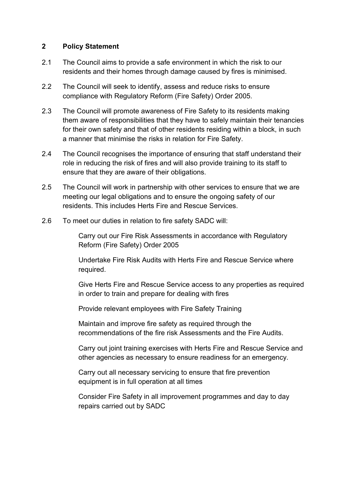#### **2 Policy Statement**

- 2.1 The Council aims to provide a safe environment in which the risk to our residents and their homes through damage caused by fires is minimised.
- 2.2 The Council will seek to identify, assess and reduce risks to ensure compliance with Regulatory Reform (Fire Safety) Order 2005.
- 2.3 The Council will promote awareness of Fire Safety to its residents making them aware of responsibilities that they have to safely maintain their tenancies for their own safety and that of other residents residing within a block, in such a manner that minimise the risks in relation for Fire Safety.
- 2.4 The Council recognises the importance of ensuring that staff understand their role in reducing the risk of fires and will also provide training to its staff to ensure that they are aware of their obligations.
- 2.5 The Council will work in partnership with other services to ensure that we are meeting our legal obligations and to ensure the ongoing safety of our residents. This includes Herts Fire and Rescue Services.
- 2.6 To meet our duties in relation to fire safety SADC will:

Carry out our Fire Risk Assessments in accordance with Regulatory Reform (Fire Safety) Order 2005

Undertake Fire Risk Audits with Herts Fire and Rescue Service where required.

Give Herts Fire and Rescue Service access to any properties as required in order to train and prepare for dealing with fires

Provide relevant employees with Fire Safety Training

Maintain and improve fire safety as required through the recommendations of the fire risk Assessments and the Fire Audits.

Carry out joint training exercises with Herts Fire and Rescue Service and other agencies as necessary to ensure readiness for an emergency.

Carry out all necessary servicing to ensure that fire prevention equipment is in full operation at all times

Consider Fire Safety in all improvement programmes and day to day repairs carried out by SADC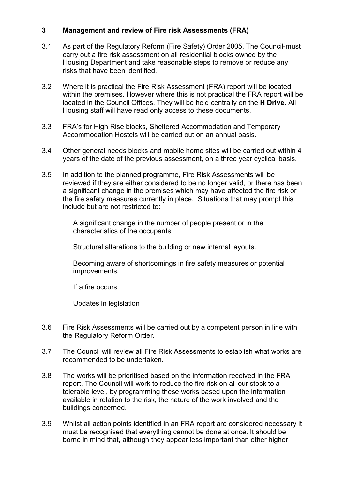#### **3 Management and review of Fire risk Assessments (FRA)**

- 3.1 As part of the Regulatory Reform (Fire Safety) Order 2005, The Council-must carry out a fire risk assessment on all residential blocks owned by the Housing Department and take reasonable steps to remove or reduce any risks that have been identified.
- 3.2 Where it is practical the Fire Risk Assessment (FRA) report will be located within the premises. However where this is not practical the FRA report will be located in the Council Offices. They will be held centrally on the **H Drive.** All Housing staff will have read only access to these documents.
- 3.3 FRA's for High Rise blocks, Sheltered Accommodation and Temporary Accommodation Hostels will be carried out on an annual basis.
- 3.4 Other general needs blocks and mobile home sites will be carried out within 4 years of the date of the previous assessment, on a three year cyclical basis.
- 3.5 In addition to the planned programme, Fire Risk Assessments will be reviewed if they are either considered to be no longer valid, or there has been a significant change in the premises which may have affected the fire risk or the fire safety measures currently in place. Situations that may prompt this include but are not restricted to:

A significant change in the number of people present or in the characteristics of the occupants

Structural alterations to the building or new internal layouts.

Becoming aware of shortcomings in fire safety measures or potential improvements.

If a fire occurs

Updates in legislation

- 3.6 Fire Risk Assessments will be carried out by a competent person in line with the Regulatory Reform Order.
- 3.7 The Council will review all Fire Risk Assessments to establish what works are recommended to be undertaken.
- 3.8 The works will be prioritised based on the information received in the FRA report. The Council will work to reduce the fire risk on all our stock to a tolerable level, by programming these works based upon the information available in relation to the risk, the nature of the work involved and the buildings concerned.
- 3.9 Whilst all action points identified in an FRA report are considered necessary it must be recognised that everything cannot be done at once. It should be borne in mind that, although they appear less important than other higher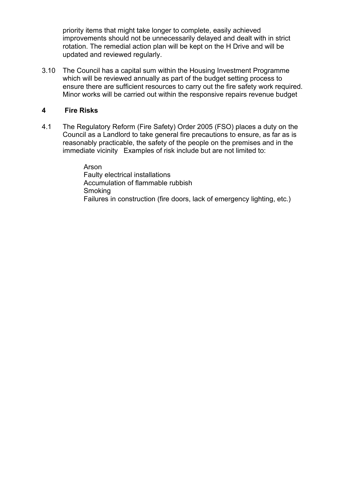priority items that might take longer to complete, easily achieved improvements should not be unnecessarily delayed and dealt with in strict rotation. The remedial action plan will be kept on the H Drive and will be updated and reviewed regularly.

3.10 The Council has a capital sum within the Housing Investment Programme which will be reviewed annually as part of the budget setting process to ensure there are sufficient resources to carry out the fire safety work required. Minor works will be carried out within the responsive repairs revenue budget

#### **4 Fire Risks**

4.1 The Regulatory Reform (Fire Safety) Order 2005 (FSO) places a duty on the Council as a Landlord to take general fire precautions to ensure, as far as is reasonably practicable, the safety of the people on the premises and in the immediate vicinity Examples of risk include but are not limited to:

> Arson Faulty electrical installations Accumulation of flammable rubbish **Smoking** Failures in construction (fire doors, lack of emergency lighting, etc.)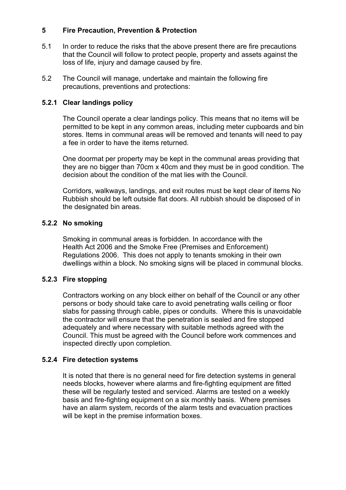#### **5 Fire Precaution, Prevention & Protection**

- 5.1 In order to reduce the risks that the above present there are fire precautions that the Council will follow to protect people, property and assets against the loss of life, injury and damage caused by fire.
- 5.2 The Council will manage, undertake and maintain the following fire precautions, preventions and protections:

#### **5.2.1 Clear landings policy**

The Council operate a clear landings policy. This means that no items will be permitted to be kept in any common areas, including meter cupboards and bin stores. Items in communal areas will be removed and tenants will need to pay a fee in order to have the items returned.

One doormat per property may be kept in the communal areas providing that they are no bigger than 70cm x 40cm and they must be in good condition. The decision about the condition of the mat lies with the Council.

Corridors, walkways, landings, and exit routes must be kept clear of items No Rubbish should be left outside flat doors. All rubbish should be disposed of in the designated bin areas.

#### **5.2.2 No smoking**

Smoking in communal areas is forbidden. In accordance with the Health Act 2006 and the Smoke Free (Premises and Enforcement) Regulations 2006. This does not apply to tenants smoking in their own dwellings within a block. No smoking signs will be placed in communal blocks.

#### **5.2.3 Fire stopping**

Contractors working on any block either on behalf of the Council or any other persons or body should take care to avoid penetrating walls ceiling or floor slabs for passing through cable, pipes or conduits. Where this is unavoidable the contractor will ensure that the penetration is sealed and fire stopped adequately and where necessary with suitable methods agreed with the Council. This must be agreed with the Council before work commences and inspected directly upon completion.

#### **5.2.4 Fire detection systems**

It is noted that there is no general need for fire detection systems in general needs blocks, however where alarms and fire-fighting equipment are fitted these will be regularly tested and serviced. Alarms are tested on a weekly basis and fire-fighting equipment on a six monthly basis. Where premises have an alarm system, records of the alarm tests and evacuation practices will be kept in the premise information boxes.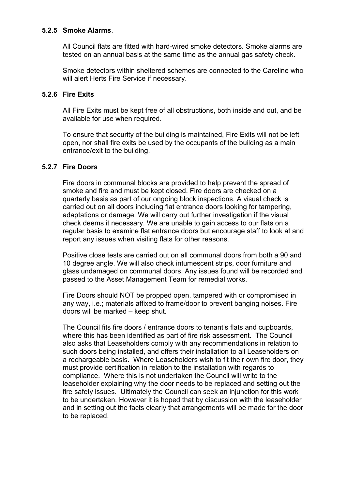#### **5**.**2.5 Smoke Alarms**.

All Council flats are fitted with hard-wired smoke detectors. Smoke alarms are tested on an annual basis at the same time as the annual gas safety check.

Smoke detectors within sheltered schemes are connected to the Careline who will alert Herts Fire Service if necessary.

#### **5.2.6 Fire Exits**

All Fire Exits must be kept free of all obstructions, both inside and out, and be available for use when required.

To ensure that security of the building is maintained, Fire Exits will not be left open, nor shall fire exits be used by the occupants of the building as a main entrance/exit to the building.

#### **5.2.7 Fire Doors**

Fire doors in communal blocks are provided to help prevent the spread of smoke and fire and must be kept closed. Fire doors are checked on a quarterly basis as part of our ongoing block inspections. A visual check is carried out on all doors including flat entrance doors looking for tampering, adaptations or damage. We will carry out further investigation if the visual check deems it necessary. We are unable to gain access to our flats on a regular basis to examine flat entrance doors but encourage staff to look at and report any issues when visiting flats for other reasons.

Positive close tests are carried out on all communal doors from both a 90 and 10 degree angle. We will also check intumescent strips, door furniture and glass undamaged on communal doors. Any issues found will be recorded and passed to the Asset Management Team for remedial works.

Fire Doors should NOT be propped open, tampered with or compromised in any way, i.e.; materials affixed to frame/door to prevent banging noises. Fire doors will be marked – keep shut.

The Council fits fire doors / entrance doors to tenant's flats and cupboards, where this has been identified as part of fire risk assessment. The Council also asks that Leaseholders comply with any recommendations in relation to such doors being installed, and offers their installation to all Leaseholders on a rechargeable basis. Where Leaseholders wish to fit their own fire door, they must provide certification in relation to the installation with regards to compliance. Where this is not undertaken the Council will write to the leaseholder explaining why the door needs to be replaced and setting out the fire safety issues. Ultimately the Council can seek an injunction for this work to be undertaken. However it is hoped that by discussion with the leaseholder and in setting out the facts clearly that arrangements will be made for the door to be replaced.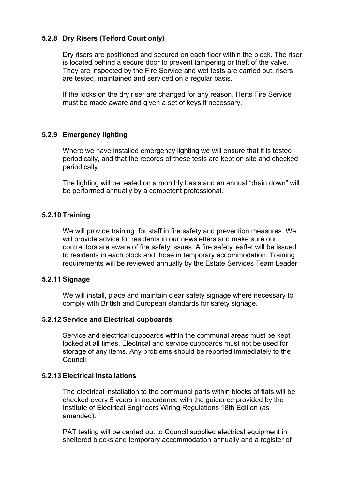#### **5.2.8 Dry Risers (Telford Court only)**

Dry risers are positioned and secured on each floor within the block. The riser is located behind a secure door to prevent tampering or theft of the valve. They are inspected by the Fire Service and wet tests are carried out, risers are tested, maintained and serviced on a regular basis.

If the locks on the dry riser are changed for any reason, Herts Fire Service must be made aware and given a set of keys if necessary.

#### **5.2.9 Emergency lighting**

Where we have installed emergency lighting we will ensure that it is tested periodically, and that the records of these tests are kept on site and checked periodically.

The lighting will be tested on a monthly basis and an annual "drain down" will be performed annually by a competent professional.

#### **5.2.10 Training**

We will provide training for staff in fire safety and prevention measures. We will provide advice for residents in our newsletters and make sure our contractors are aware of fire safety issues. A fire safety leaflet will be issued to residents in each block and those in temporary accommodation. Training requirements will be reviewed annually by the Estate Services Team Leader

#### **5.2.11 Signage**

We will install, place and maintain clear safety signage where necessary to comply with British and European standards for safety signage.

#### **5.2.12 Service and Electrical cupboards**

Service and electrical cupboards within the communal areas must be kept locked at all times. Electrical and service cupboards must not be used for storage of any items. Any problems should be reported immediately to the Council.

#### **5.2.13 Electrical Installations**

The electrical installation to the communal parts within blocks of flats will be checked every 5 years in accordance with the guidance provided by the Institute of Electrical Engineers Wiring Regulations 18th Edition (as amended).

PAT testing will be carried out to Council supplied electrical equipment in sheltered blocks and temporary accommodation annually and a register of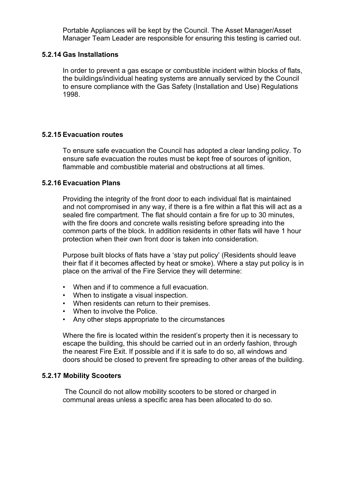Portable Appliances will be kept by the Council. The Asset Manager/Asset Manager Team Leader are responsible for ensuring this testing is carried out.

#### **5.2.14 Gas Installations**

In order to prevent a gas escape or combustible incident within blocks of flats, the buildings/individual heating systems are annually serviced by the Council to ensure compliance with the Gas Safety (Installation and Use) Regulations 1998.

#### **5.2.15 Evacuation routes**

To ensure safe evacuation the Council has adopted a clear landing policy. To ensure safe evacuation the routes must be kept free of sources of ignition, flammable and combustible material and obstructions at all times.

#### **5.2.16 Evacuation Plans**

Providing the integrity of the front door to each individual flat is maintained and not compromised in any way, if there is a fire within a flat this will act as a sealed fire compartment. The flat should contain a fire for up to 30 minutes, with the fire doors and concrete walls resisting before spreading into the common parts of the block. In addition residents in other flats will have 1 hour protection when their own front door is taken into consideration.

Purpose built blocks of flats have a 'stay put policy' (Residents should leave their flat if it becomes affected by heat or smoke). Where a stay put policy is in place on the arrival of the Fire Service they will determine:

- When and if to commence a full evacuation.
- When to instigate a visual inspection.
- When residents can return to their premises.
- When to involve the Police.
- Any other steps appropriate to the circumstances

Where the fire is located within the resident's property then it is necessary to escape the building, this should be carried out in an orderly fashion, through the nearest Fire Exit. If possible and if it is safe to do so, all windows and doors should be closed to prevent fire spreading to other areas of the building.

#### **5.2.17 Mobility Scooters**

The Council do not allow mobility scooters to be stored or charged in communal areas unless a specific area has been allocated to do so.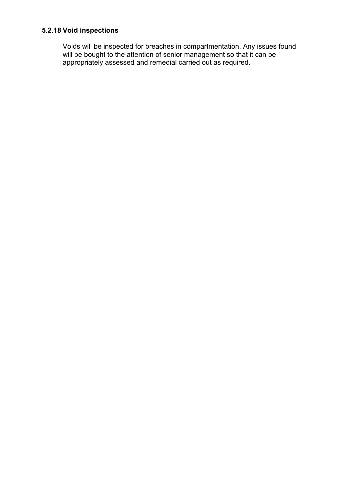## **5.2.18 Void inspections**

Voids will be inspected for breaches in compartmentation. Any issues found will be bought to the attention of senior management so that it can be appropriately assessed and remedial carried out as required.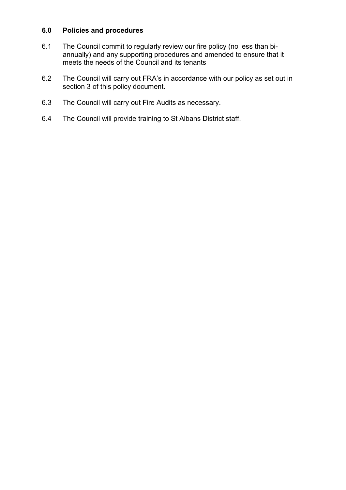#### **6.0 Policies and procedures**

- 6.1 The Council commit to regularly review our fire policy (no less than biannually) and any supporting procedures and amended to ensure that it meets the needs of the Council and its tenants
- 6.2 The Council will carry out FRA's in accordance with our policy as set out in section 3 of this policy document.
- 6.3 The Council will carry out Fire Audits as necessary.
- 6.4 The Council will provide training to St Albans District staff.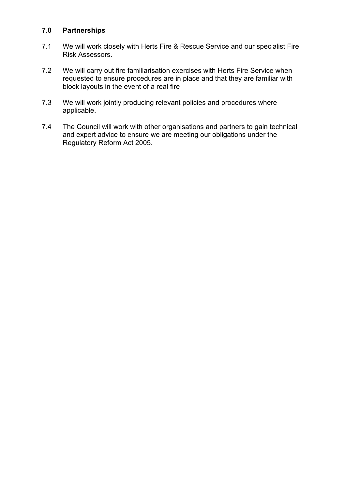#### **7.0 Partnerships**

- 7.1 We will work closely with Herts Fire & Rescue Service and our specialist Fire Risk Assessors.
- 7.2 We will carry out fire familiarisation exercises with Herts Fire Service when requested to ensure procedures are in place and that they are familiar with block layouts in the event of a real fire
- 7.3 We will work jointly producing relevant policies and procedures where applicable.
- 7.4 The Council will work with other organisations and partners to gain technical and expert advice to ensure we are meeting our obligations under the Regulatory Reform Act 2005.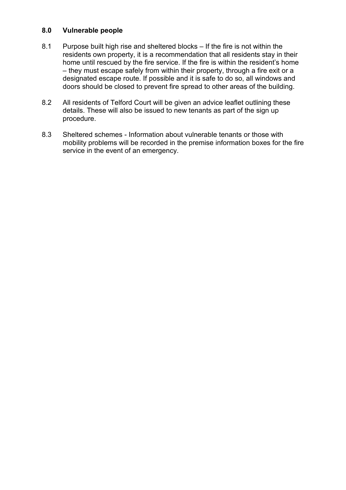#### **8.0 Vulnerable people**

- 8.1 Purpose built high rise and sheltered blocks If the fire is not within the residents own property, it is a recommendation that all residents stay in their home until rescued by the fire service. If the fire is within the resident's home – they must escape safely from within their property, through a fire exit or a designated escape route. If possible and it is safe to do so, all windows and doors should be closed to prevent fire spread to other areas of the building.
- 8.2 All residents of Telford Court will be given an advice leaflet outlining these details. These will also be issued to new tenants as part of the sign up procedure.
- 8.3 Sheltered schemes Information about vulnerable tenants or those with mobility problems will be recorded in the premise information boxes for the fire service in the event of an emergency.